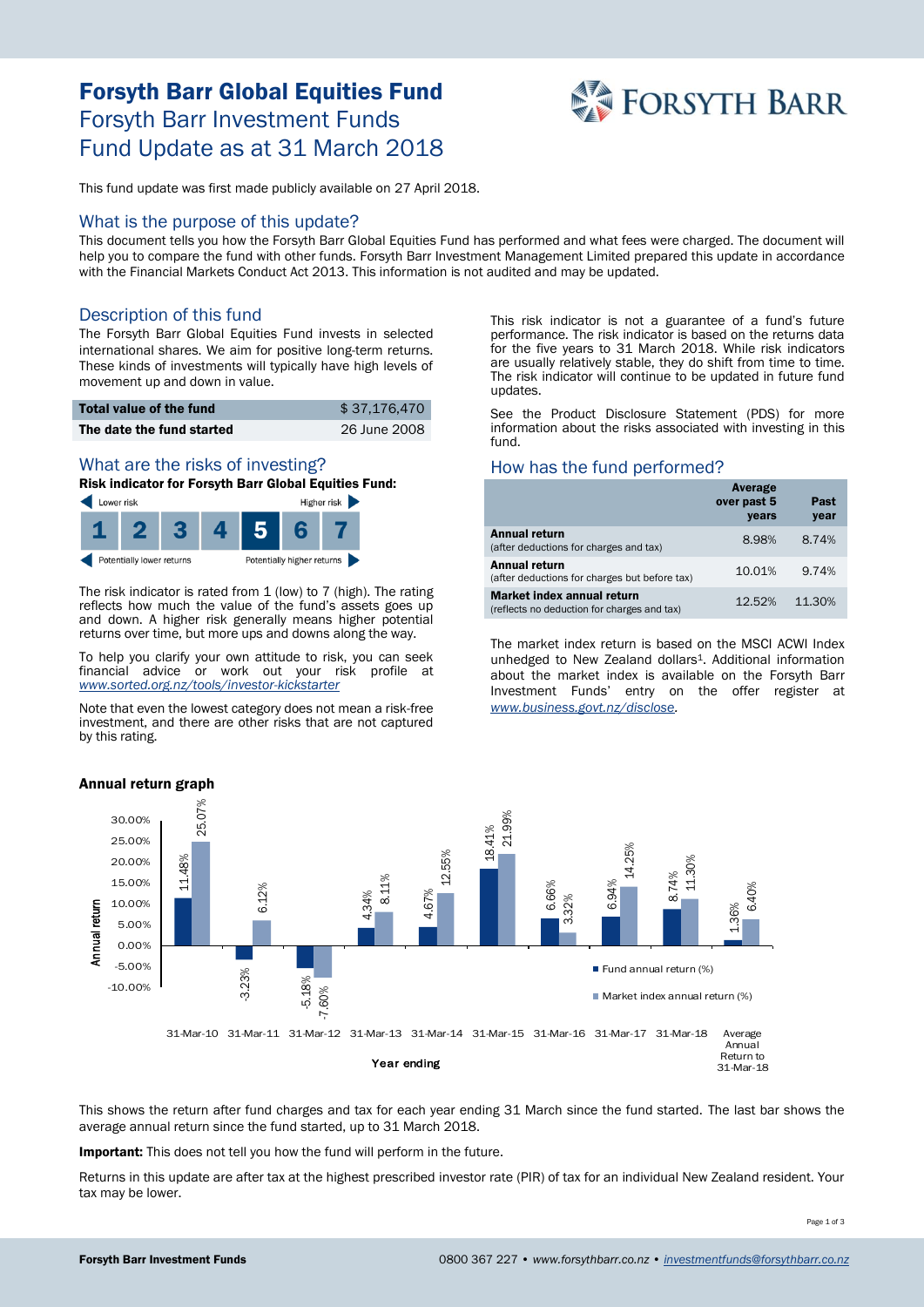# Forsyth Barr Global Equities Fund Forsyth Barr Investment Funds Fund Update as at 31 March 2018



This fund update was first made publicly available on 27 April 2018.

#### What is the purpose of this update?

This document tells you how the Forsyth Barr Global Equities Fund has performed and what fees were charged. The document will help you to compare the fund with other funds. Forsyth Barr Investment Management Limited prepared this update in accordance with the Financial Markets Conduct Act 2013. This information is not audited and may be updated.

### Description of this fund

The Forsyth Barr Global Equities Fund invests in selected international shares. We aim for positive long-term returns. These kinds of investments will typically have high levels of movement up and down in value.

| Total value of the fund   | \$37.176.470 |
|---------------------------|--------------|
| The date the fund started | 26 June 2008 |

# What are the risks of investing?

Risk indicator for Forsyth Barr Global Equities Fund:



The risk indicator is rated from 1 (low) to 7 (high). The rating reflects how much the value of the fund's assets goes up and down. A higher risk generally means higher potential returns over time, but more ups and downs along the way.

To help you clarify your own attitude to risk, you can seek financial advice or work out your risk profile at *[www.sorted.org.nz/tools/investor-kickstarter](http://www.sorted.org.nz/tools/investor-kickstarter)*

Note that even the lowest category does not mean a risk-free investment, and there are other risks that are not captured by this rating.

This risk indicator is not a guarantee of a fund's future performance. The risk indicator is based on the returns data for the five years to 31 March 2018. While risk indicators are usually relatively stable, they do shift from time to time. The risk indicator will continue to be updated in future fund updates.

See the Product Disclosure Statement (PDS) for more information about the risks associated with investing in this fund.

#### How has the fund performed?

|                                                                           | Average<br>over past 5<br>years | Past<br>year |
|---------------------------------------------------------------------------|---------------------------------|--------------|
| <b>Annual return</b><br>(after deductions for charges and tax)            | 8.98%                           | 8.74%        |
| <b>Annual return</b><br>(after deductions for charges but before tax)     | 10.01%                          | 9.74%        |
| Market index annual return<br>(reflects no deduction for charges and tax) | 12.52%                          | 11.30%       |

The market index return is based on the MSCI ACWI Index unhedged to New Zealand dollars<sup>1</sup>. Additional information about the market index is available on the Forsyth Barr Investment Funds' entry on the offer register at *[www.business.govt.nz/disclose.](http://www.business.govt.nz/disclose)*



This shows the return after fund charges and tax for each year ending 31 March since the fund started. The last bar shows the average annual return since the fund started, up to 31 March 2018.

Important: This does not tell you how the fund will perform in the future.

Returns in this update are after tax at the highest prescribed investor rate (PIR) of tax for an individual New Zealand resident. Your tax may be lower.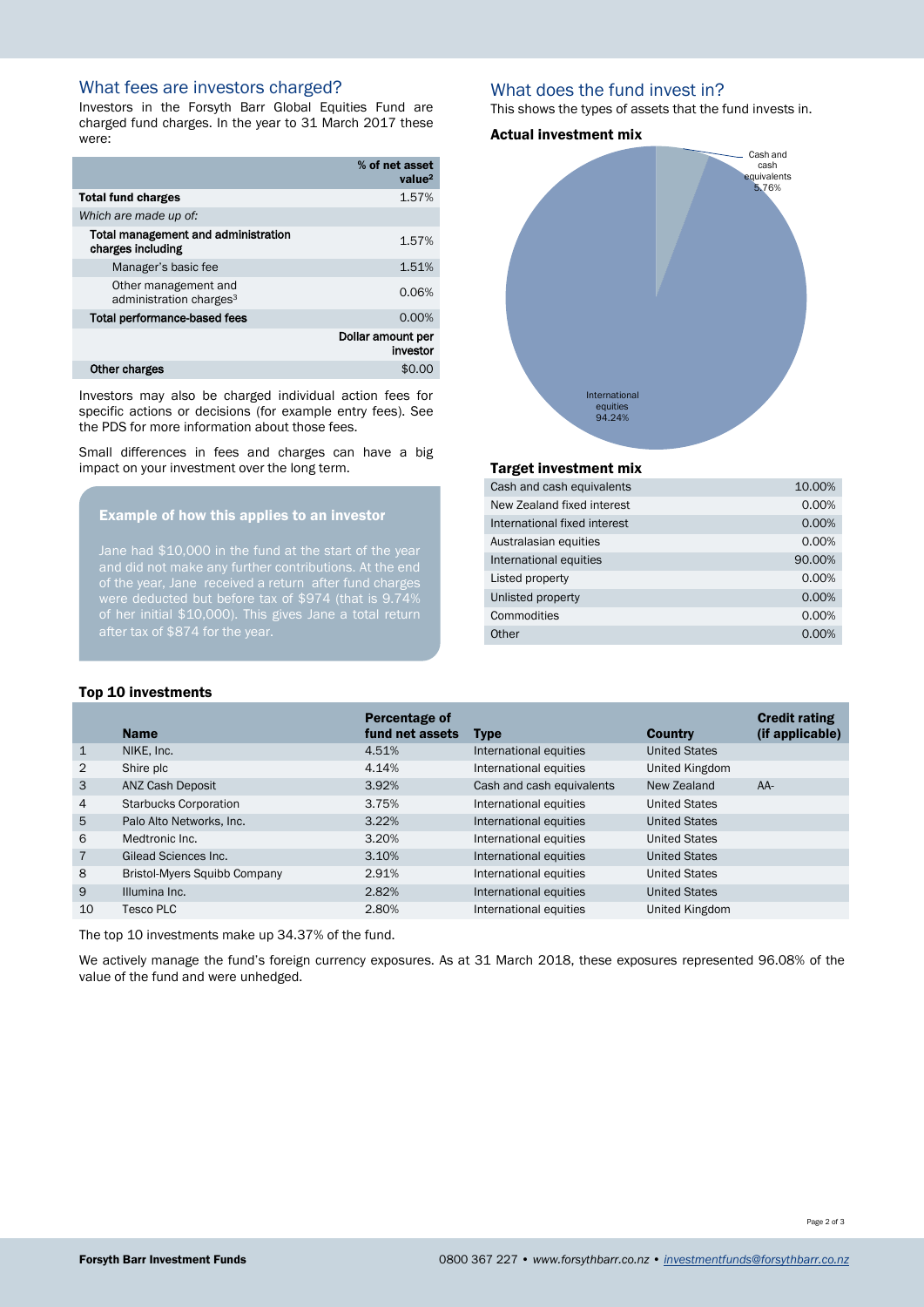# What fees are investors charged?

Investors in the Forsyth Barr Global Equities Fund are charged fund charges. In the year to 31 March 2017 these were:

|                                                             | % of net asset<br>value <sup>2</sup> |
|-------------------------------------------------------------|--------------------------------------|
| <b>Total fund charges</b>                                   | 1.57%                                |
| Which are made up of:                                       |                                      |
| Total management and administration<br>charges including    | 1.57%                                |
| Manager's basic fee                                         | 1.51%                                |
| Other management and<br>administration charges <sup>3</sup> | 0.06%                                |
| <b>Total performance-based fees</b>                         | 0.00%                                |
|                                                             | Dollar amount per<br>investor        |
| Other charges                                               | SΩ                                   |

Investors may also be charged individual action fees for specific actions or decisions (for example entry fees). See the PDS for more information about those fees.

Small differences in fees and charges can have a big impact on your investment over the long term.

#### Example of how this applies to an investor

Jane had \$10,000 in the fund at the start of the year of the year, Jane received a return after fund charges of her initial \$10,000). This gives Jane a total return after tax of \$874 for the year.

#### What does the fund invest in?

This shows the types of assets that the fund invests in.

#### Actual investment mix



#### Target investment mix

| Cash and cash equivalents    | 10.00% |
|------------------------------|--------|
| New Zealand fixed interest   | 0.00%  |
| International fixed interest | 0.00%  |
| Australasian equities        | 0.00%  |
| International equities       | 90.00% |
| Listed property              | 0.00%  |
| Unlisted property            | 0.00%  |
| Commodities                  | 0.00%  |
| Other                        | 0.00%  |
|                              |        |

#### Top 10 investments

|                | <b>Name</b>                  | Percentage of<br>fund net assets | <b>Type</b>               | <b>Country</b>       | <b>Credit rating</b><br>(if applicable) |
|----------------|------------------------------|----------------------------------|---------------------------|----------------------|-----------------------------------------|
| $\mathbf{1}$   | NIKE, Inc.                   | 4.51%                            | International equities    | <b>United States</b> |                                         |
| 2              | Shire plc                    | 4.14%                            | International equities    | United Kingdom       |                                         |
| 3              | <b>ANZ Cash Deposit</b>      | 3.92%                            | Cash and cash equivalents | New Zealand          | $AA-$                                   |
| $\overline{4}$ | <b>Starbucks Corporation</b> | 3.75%                            | International equities    | <b>United States</b> |                                         |
| 5              | Palo Alto Networks, Inc.     | 3.22%                            | International equities    | <b>United States</b> |                                         |
| 6              | Medtronic Inc.               | 3.20%                            | International equities    | <b>United States</b> |                                         |
| $\overline{7}$ | Gilead Sciences Inc.         | 3.10%                            | International equities    | <b>United States</b> |                                         |
| 8              | Bristol-Myers Squibb Company | 2.91%                            | International equities    | <b>United States</b> |                                         |
| 9              | Illumina Inc.                | 2.82%                            | International equities    | <b>United States</b> |                                         |
| 10             | Tesco PLC                    | 2.80%                            | International equities    | United Kingdom       |                                         |

The top 10 investments make up 34.37% of the fund.

We actively manage the fund's foreign currency exposures. As at 31 March 2018, these exposures represented 96.08% of the value of the fund and were unhedged.